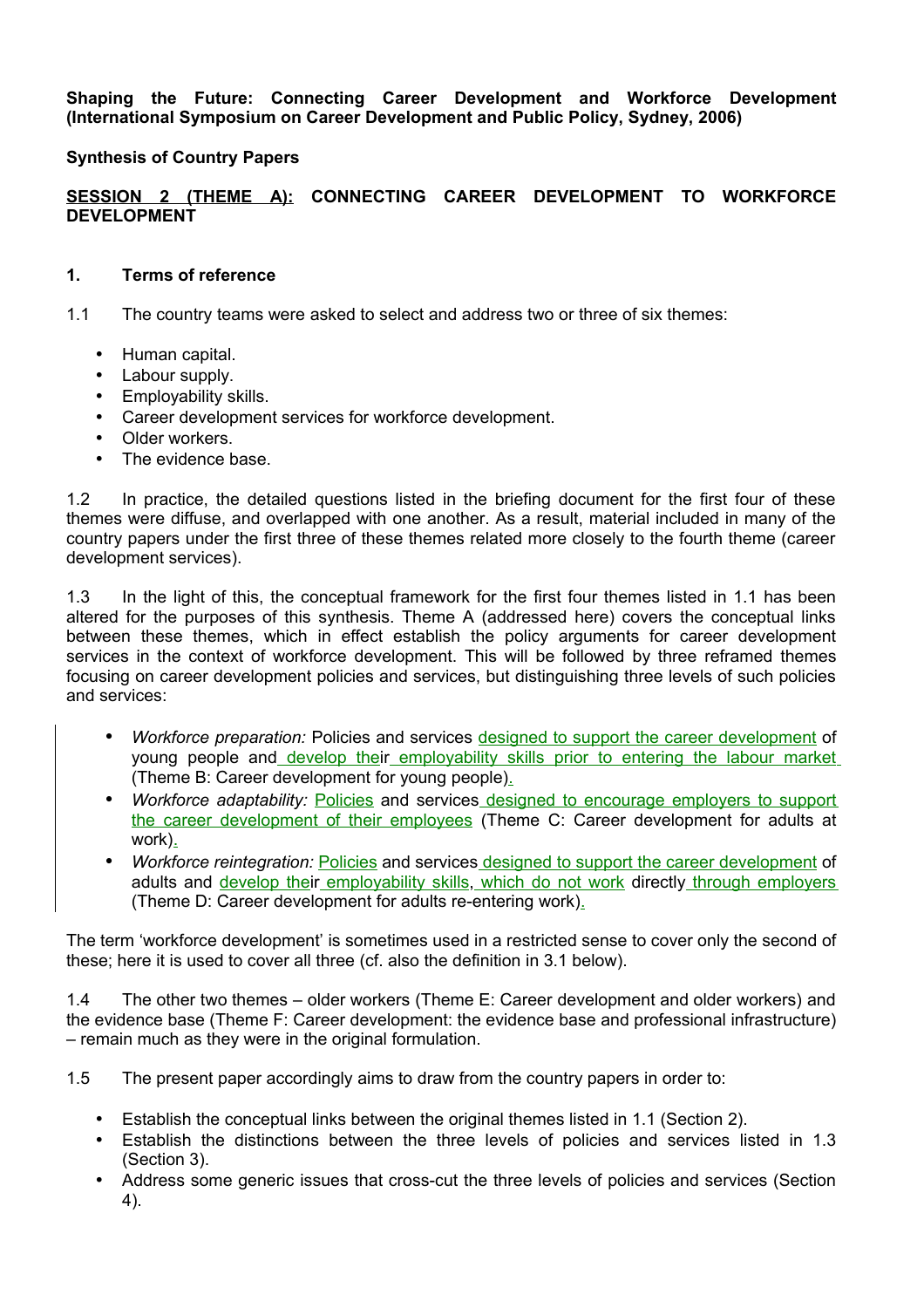**Shaping the Future: Connecting Career Development and Workforce Development (International Symposium on Career Development and Public Policy, Sydney, 2006)**

### **Synthesis of Country Papers**

### **SESSION 2 (THEME A): CONNECTING CAREER DEVELOPMENT TO WORKFORCE DEVELOPMENT**

#### **1. Terms of reference**

1.1 The country teams were asked to select and address two or three of six themes:

- Human capital.
- Labour supply.
- Employability skills.
- Career development services for workforce development.
- Older workers.
- The evidence base.

1.2 In practice, the detailed questions listed in the briefing document for the first four of these themes were diffuse, and overlapped with one another. As a result, material included in many of the country papers under the first three of these themes related more closely to the fourth theme (career development services).

1.3 In the light of this, the conceptual framework for the first four themes listed in 1.1 has been altered for the purposes of this synthesis. Theme A (addressed here) covers the conceptual links between these themes, which in effect establish the policy arguments for career development services in the context of workforce development. This will be followed by three reframed themes focusing on career development policies and services, but distinguishing three levels of such policies and services:

- *Workforce preparation:* Policies and services designed to support the career development of young people and develop their employability skills prior to entering the labour market (Theme B: Career development for young people).
- *Workforce adaptability:* Policies and services designed to encourage employers to support the career development of their employees (Theme C: Career development for adults at work).
- *Workforce reintegration:* Policies and services designed to support the career development of adults and develop their employability skills, which do not work directly through employers (Theme D: Career development for adults re-entering work).

The term 'workforce development' is sometimes used in a restricted sense to cover only the second of these; here it is used to cover all three (cf. also the definition in 3.1 below).

1.4 The other two themes – older workers (Theme E: Career development and older workers) and the evidence base (Theme F: Career development: the evidence base and professional infrastructure) – remain much as they were in the original formulation.

1.5 The present paper accordingly aims to draw from the country papers in order to:

- Establish the conceptual links between the original themes listed in 1.1 (Section 2).
- Establish the distinctions between the three levels of policies and services listed in 1.3 (Section 3).
- Address some generic issues that cross-cut the three levels of policies and services (Section 4).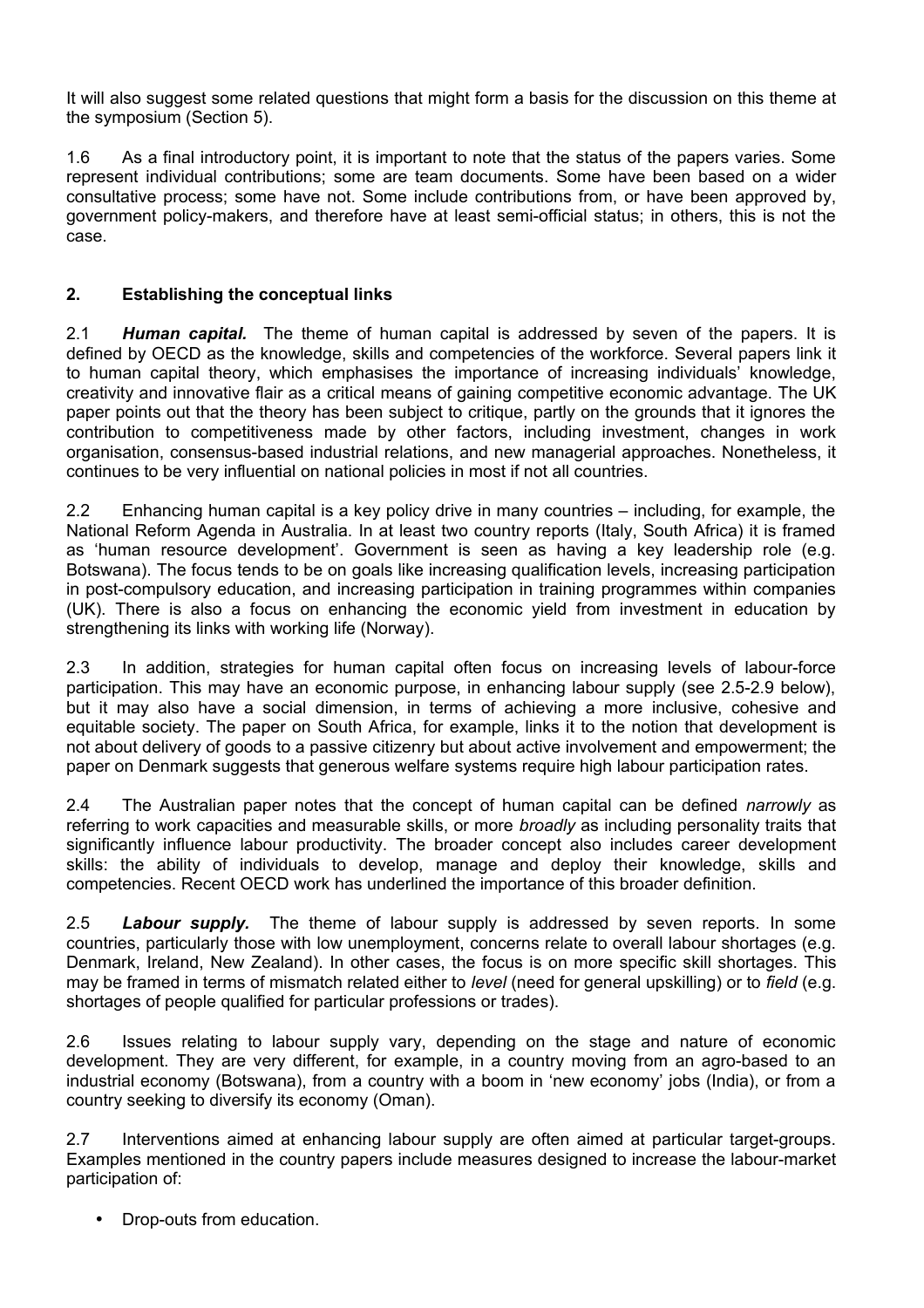It will also suggest some related questions that might form a basis for the discussion on this theme at the symposium (Section 5).

1.6 As a final introductory point, it is important to note that the status of the papers varies. Some represent individual contributions; some are team documents. Some have been based on a wider consultative process; some have not. Some include contributions from, or have been approved by, government policy-makers, and therefore have at least semi-official status; in others, this is not the case.

# **2. Establishing the conceptual links**

2.1 *Human capital.* The theme of human capital is addressed by seven of the papers. It is defined by OECD as the knowledge, skills and competencies of the workforce. Several papers link it to human capital theory, which emphasises the importance of increasing individuals' knowledge, creativity and innovative flair as a critical means of gaining competitive economic advantage. The UK paper points out that the theory has been subject to critique, partly on the grounds that it ignores the contribution to competitiveness made by other factors, including investment, changes in work organisation, consensus-based industrial relations, and new managerial approaches. Nonetheless, it continues to be very influential on national policies in most if not all countries.

2.2 Enhancing human capital is a key policy drive in many countries – including, for example, the National Reform Agenda in Australia. In at least two country reports (Italy, South Africa) it is framed as 'human resource development'. Government is seen as having a key leadership role (e.g. Botswana). The focus tends to be on goals like increasing qualification levels, increasing participation in post-compulsory education, and increasing participation in training programmes within companies (UK). There is also a focus on enhancing the economic yield from investment in education by strengthening its links with working life (Norway).

2.3 In addition, strategies for human capital often focus on increasing levels of labour-force participation. This may have an economic purpose, in enhancing labour supply (see 2.5-2.9 below), but it may also have a social dimension, in terms of achieving a more inclusive, cohesive and equitable society. The paper on South Africa, for example, links it to the notion that development is not about delivery of goods to a passive citizenry but about active involvement and empowerment; the paper on Denmark suggests that generous welfare systems require high labour participation rates.

2.4 The Australian paper notes that the concept of human capital can be defined *narrowly* as referring to work capacities and measurable skills, or more *broadly* as including personality traits that significantly influence labour productivity. The broader concept also includes career development skills: the ability of individuals to develop, manage and deploy their knowledge, skills and competencies. Recent OECD work has underlined the importance of this broader definition.

2.5 *Labour supply.* The theme of labour supply is addressed by seven reports. In some countries, particularly those with low unemployment, concerns relate to overall labour shortages (e.g. Denmark, Ireland, New Zealand). In other cases, the focus is on more specific skill shortages. This may be framed in terms of mismatch related either to *level* (need for general upskilling) or to *field* (e.g. shortages of people qualified for particular professions or trades).

2.6 Issues relating to labour supply vary, depending on the stage and nature of economic development. They are very different, for example, in a country moving from an agro-based to an industrial economy (Botswana), from a country with a boom in 'new economy' jobs (India), or from a country seeking to diversify its economy (Oman).

2.7 Interventions aimed at enhancing labour supply are often aimed at particular target-groups. Examples mentioned in the country papers include measures designed to increase the labour-market participation of:

• Drop-outs from education.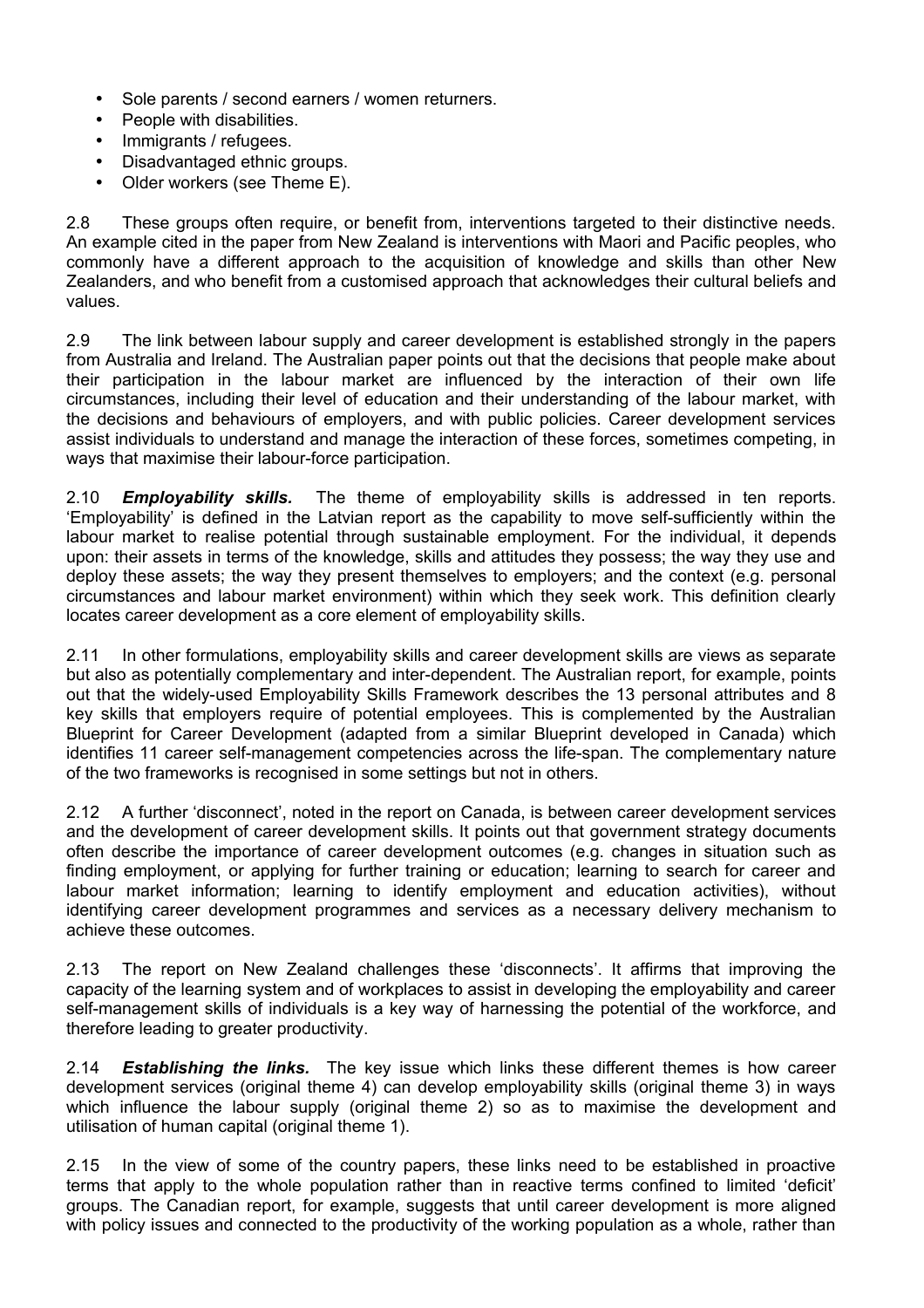- Sole parents / second earners / women returners.
- People with disabilities.
- Immigrants / refugees.
- Disadvantaged ethnic groups.
- Older workers (see Theme E).

2.8 These groups often require, or benefit from, interventions targeted to their distinctive needs. An example cited in the paper from New Zealand is interventions with Maori and Pacific peoples, who commonly have a different approach to the acquisition of knowledge and skills than other New Zealanders, and who benefit from a customised approach that acknowledges their cultural beliefs and values.

2.9 The link between labour supply and career development is established strongly in the papers from Australia and Ireland. The Australian paper points out that the decisions that people make about their participation in the labour market are influenced by the interaction of their own life circumstances, including their level of education and their understanding of the labour market, with the decisions and behaviours of employers, and with public policies. Career development services assist individuals to understand and manage the interaction of these forces, sometimes competing, in ways that maximise their labour-force participation.

2.10 *Employability skills.* The theme of employability skills is addressed in ten reports. 'Employability' is defined in the Latvian report as the capability to move self-sufficiently within the labour market to realise potential through sustainable employment. For the individual, it depends upon: their assets in terms of the knowledge, skills and attitudes they possess; the way they use and deploy these assets; the way they present themselves to employers; and the context (e.g. personal circumstances and labour market environment) within which they seek work. This definition clearly locates career development as a core element of employability skills.

2.11 In other formulations, employability skills and career development skills are views as separate but also as potentially complementary and inter-dependent. The Australian report, for example, points out that the widely-used Employability Skills Framework describes the 13 personal attributes and 8 key skills that employers require of potential employees. This is complemented by the Australian Blueprint for Career Development (adapted from a similar Blueprint developed in Canada) which identifies 11 career self-management competencies across the life-span. The complementary nature of the two frameworks is recognised in some settings but not in others.

2.12 A further 'disconnect', noted in the report on Canada, is between career development services and the development of career development skills. It points out that government strategy documents often describe the importance of career development outcomes (e.g. changes in situation such as finding employment, or applying for further training or education; learning to search for career and labour market information; learning to identify employment and education activities), without identifying career development programmes and services as a necessary delivery mechanism to achieve these outcomes.

2.13 The report on New Zealand challenges these 'disconnects'. It affirms that improving the capacity of the learning system and of workplaces to assist in developing the employability and career self-management skills of individuals is a key way of harnessing the potential of the workforce, and therefore leading to greater productivity.

2.14 *Establishing the links.* The key issue which links these different themes is how career development services (original theme 4) can develop employability skills (original theme 3) in ways which influence the labour supply (original theme 2) so as to maximise the development and utilisation of human capital (original theme 1).

2.15 In the view of some of the country papers, these links need to be established in proactive terms that apply to the whole population rather than in reactive terms confined to limited 'deficit' groups. The Canadian report, for example, suggests that until career development is more aligned with policy issues and connected to the productivity of the working population as a whole, rather than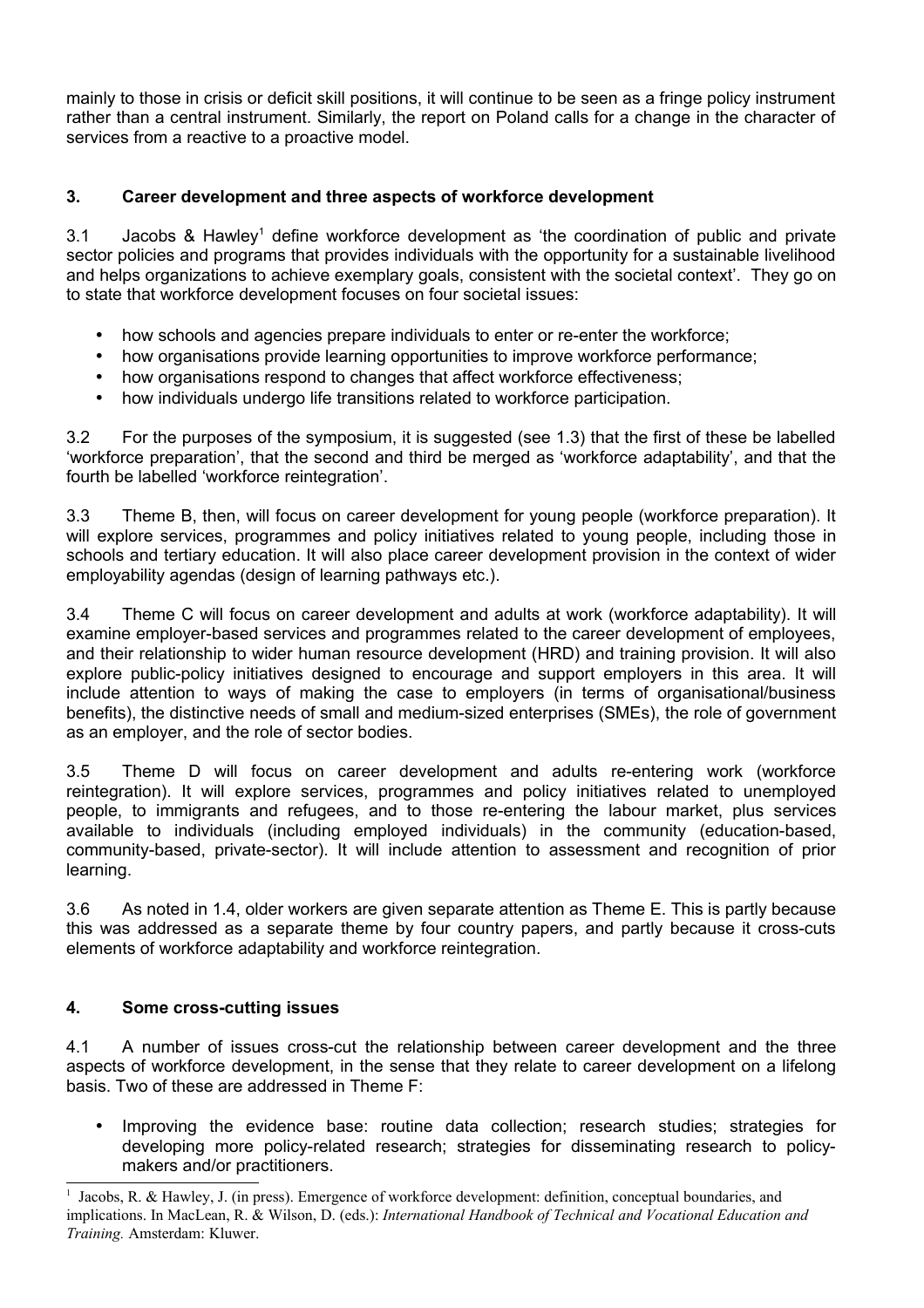mainly to those in crisis or deficit skill positions, it will continue to be seen as a fringe policy instrument rather than a central instrument. Similarly, the report on Poland calls for a change in the character of services from a reactive to a proactive model.

# **3. Career development and three aspects of workforce development**

3.1 Jacobs & Hawley [1](#page-3-0) define workforce development as 'the coordination of public and private sector policies and programs that provides individuals with the opportunity for a sustainable livelihood and helps organizations to achieve exemplary goals, consistent with the societal context'. They go on to state that workforce development focuses on four societal issues:

- how schools and agencies prepare individuals to enter or re-enter the workforce;
- how organisations provide learning opportunities to improve workforce performance;
- how organisations respond to changes that affect workforce effectiveness;
- how individuals undergo life transitions related to workforce participation.

3.2 For the purposes of the symposium, it is suggested (see 1.3) that the first of these be labelled 'workforce preparation', that the second and third be merged as 'workforce adaptability', and that the fourth be labelled 'workforce reintegration'.

3.3 Theme B, then, will focus on career development for young people (workforce preparation). It will explore services, programmes and policy initiatives related to young people, including those in schools and tertiary education. It will also place career development provision in the context of wider employability agendas (design of learning pathways etc.).

3.4 Theme C will focus on career development and adults at work (workforce adaptability). It will examine employer-based services and programmes related to the career development of employees, and their relationship to wider human resource development (HRD) and training provision. It will also explore public-policy initiatives designed to encourage and support employers in this area. It will include attention to ways of making the case to employers (in terms of organisational/business benefits), the distinctive needs of small and medium-sized enterprises (SMEs), the role of government as an employer, and the role of sector bodies.

3.5 Theme D will focus on career development and adults re-entering work (workforce reintegration). It will explore services, programmes and policy initiatives related to unemployed people, to immigrants and refugees, and to those re-entering the labour market, plus services available to individuals (including employed individuals) in the community (education-based, community-based, private-sector). It will include attention to assessment and recognition of prior learning.

3.6 As noted in 1.4, older workers are given separate attention as Theme E. This is partly because this was addressed as a separate theme by four country papers, and partly because it cross-cuts elements of workforce adaptability and workforce reintegration.

## **4. Some cross-cutting issues**

4.1 A number of issues cross-cut the relationship between career development and the three aspects of workforce development, in the sense that they relate to career development on a lifelong basis. Two of these are addressed in Theme F:

Improving the evidence base: routine data collection; research studies; strategies for developing more policy-related research; strategies for disseminating research to policymakers and/or practitioners.

<span id="page-3-0"></span><sup>1</sup> Jacobs, R. & Hawley, J. (in press). Emergence of workforce development: definition, conceptual boundaries, and implications. In MacLean, R. & Wilson, D. (eds.): *International Handbook of Technical and Vocational Education and Training.* Amsterdam: Kluwer.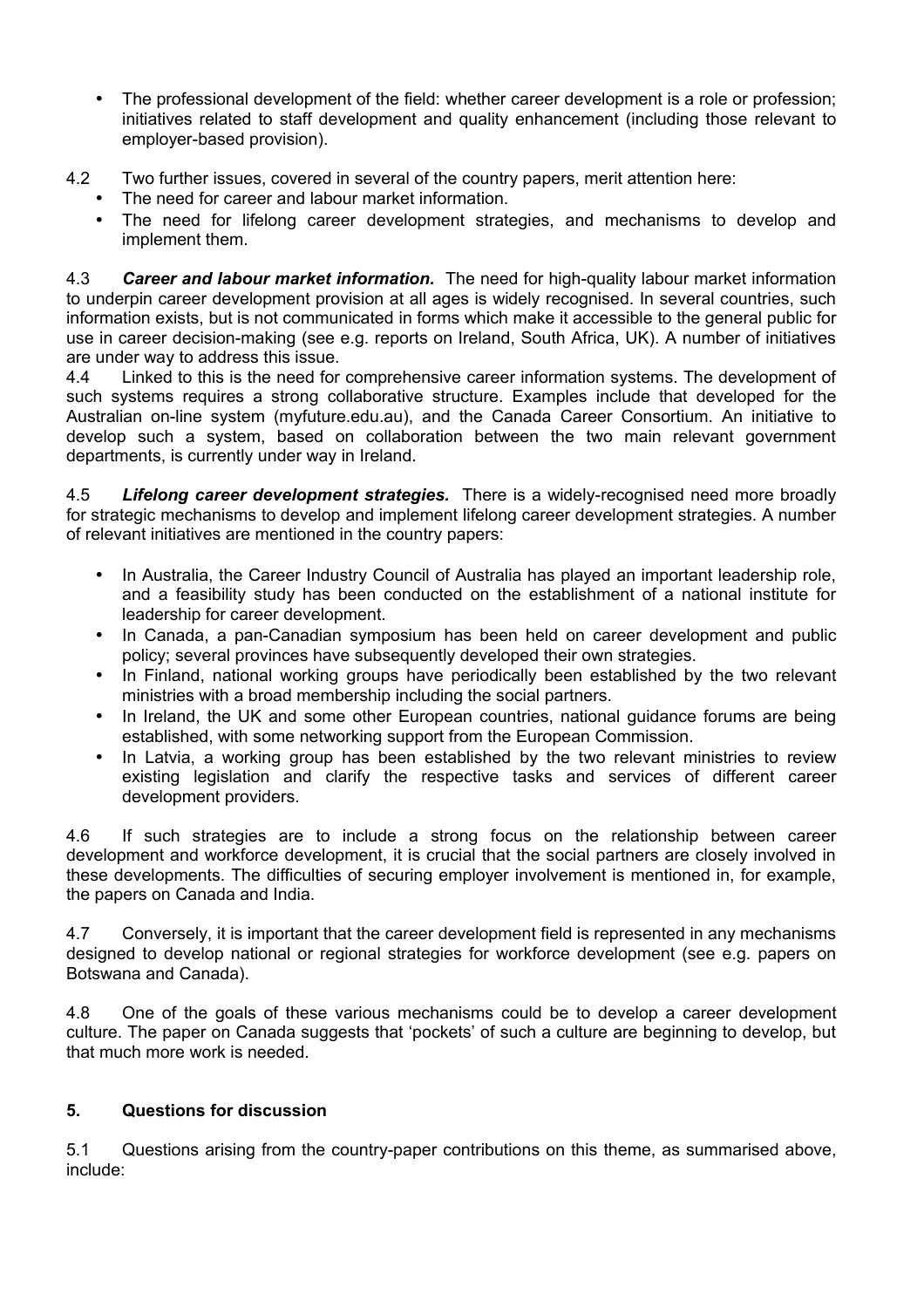- The professional development of the field: whether career development is a role or profession; initiatives related to staff development and quality enhancement (including those relevant to employer-based provision).
- 4.2 Two further issues, covered in several of the country papers, merit attention here:
	- The need for career and labour market information.
		- The need for lifelong career development strategies, and mechanisms to develop and implement them.

4.3 *Career and labour market information.* The need for high-quality labour market information to underpin career development provision at all ages is widely recognised. In several countries, such information exists, but is not communicated in forms which make it accessible to the general public for use in career decision-making (see e.g. reports on Ireland, South Africa, UK). A number of initiatives are under way to address this issue.

4.4 Linked to this is the need for comprehensive career information systems. The development of such systems requires a strong collaborative structure. Examples include that developed for the Australian on-line system (myfuture.edu.au), and the Canada Career Consortium. An initiative to develop such a system, based on collaboration between the two main relevant government departments, is currently under way in Ireland.

4.5 *Lifelong career development strategies.* There is a widely-recognised need more broadly for strategic mechanisms to develop and implement lifelong career development strategies. A number of relevant initiatives are mentioned in the country papers:

- In Australia, the Career Industry Council of Australia has played an important leadership role, and a feasibility study has been conducted on the establishment of a national institute for leadership for career development.
- In Canada, a pan-Canadian symposium has been held on career development and public policy; several provinces have subsequently developed their own strategies.
- In Finland, national working groups have periodically been established by the two relevant ministries with a broad membership including the social partners.
- In Ireland, the UK and some other European countries, national guidance forums are being established, with some networking support from the European Commission.
- In Latvia, a working group has been established by the two relevant ministries to review existing legislation and clarify the respective tasks and services of different career development providers.

4.6 If such strategies are to include a strong focus on the relationship between career development and workforce development, it is crucial that the social partners are closely involved in these developments. The difficulties of securing employer involvement is mentioned in, for example, the papers on Canada and India.

4.7 Conversely, it is important that the career development field is represented in any mechanisms designed to develop national or regional strategies for workforce development (see e.g. papers on Botswana and Canada).

4.8 One of the goals of these various mechanisms could be to develop a career development culture. The paper on Canada suggests that 'pockets' of such a culture are beginning to develop, but that much more work is needed.

## **5. Questions for discussion**

5.1 Questions arising from the country-paper contributions on this theme, as summarised above, include: